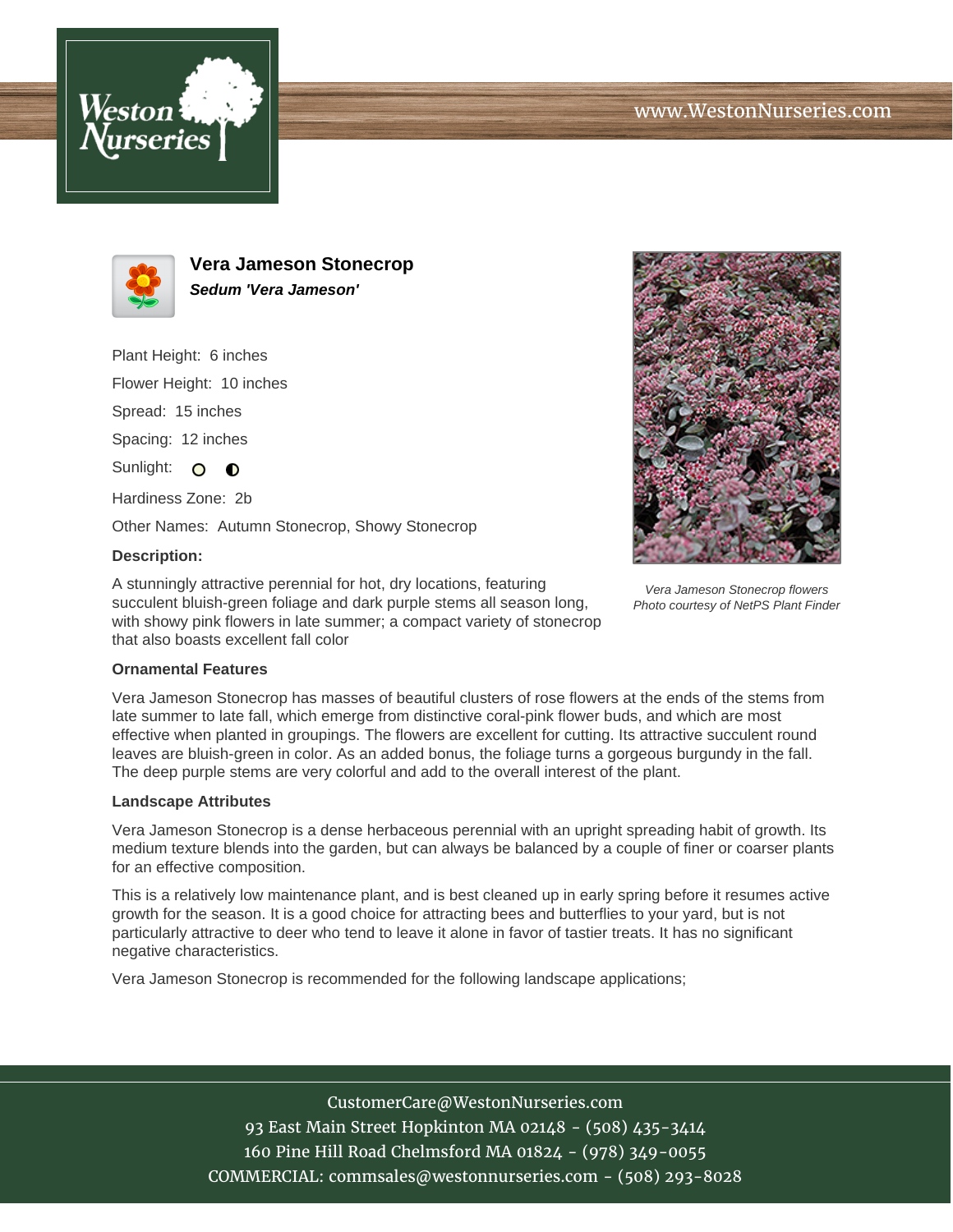



**Vera Jameson Stonecrop Sedum 'Vera Jameson'**

Plant Height: 6 inches Flower Height: 10 inches Spread: 15 inches Spacing: 12 inches Sunlight: O **O** Hardiness Zone: 2b

Other Names: Autumn Stonecrop, Showy Stonecrop

## **Description:**

A stunningly attractive perennial for hot, dry locations, featuring succulent bluish-green foliage and dark purple stems all season long, with showy pink flowers in late summer; a compact variety of stonecrop that also boasts excellent fall color



Vera Jameson Stonecrop flowers Photo courtesy of NetPS Plant Finder

## **Ornamental Features**

Vera Jameson Stonecrop has masses of beautiful clusters of rose flowers at the ends of the stems from late summer to late fall, which emerge from distinctive coral-pink flower buds, and which are most effective when planted in groupings. The flowers are excellent for cutting. Its attractive succulent round leaves are bluish-green in color. As an added bonus, the foliage turns a gorgeous burgundy in the fall. The deep purple stems are very colorful and add to the overall interest of the plant.

## **Landscape Attributes**

Vera Jameson Stonecrop is a dense herbaceous perennial with an upright spreading habit of growth. Its medium texture blends into the garden, but can always be balanced by a couple of finer or coarser plants for an effective composition.

This is a relatively low maintenance plant, and is best cleaned up in early spring before it resumes active growth for the season. It is a good choice for attracting bees and butterflies to your yard, but is not particularly attractive to deer who tend to leave it alone in favor of tastier treats. It has no significant negative characteristics.

Vera Jameson Stonecrop is recommended for the following landscape applications;

CustomerCare@WestonNurseries.com 93 East Main Street Hopkinton MA 02148 - (508) 435-3414 160 Pine Hill Road Chelmsford MA 01824 - (978) 349-0055 COMMERCIAL: commsales@westonnurseries.com - (508) 293-8028